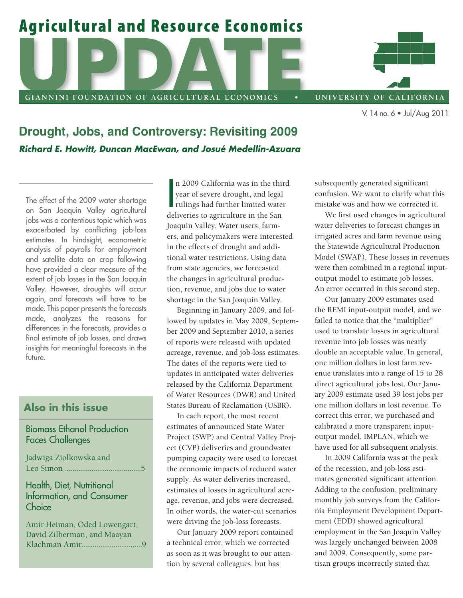# **Agricultural and Resource Economics**

GIANNINI FOUNDATION OF AGRICULTURAL ECONOMICS

UNIVERSITY OF CALIFORNIA

V. 14no.6 • Jul/Aug 2011

**Drought, Jobs, and Controversy: Revisiting 2009**  *Richard E. Howitt, Duncan MacEwan, and Josué Medellin-Azuara* 

The effect of the 2009 water shortage on San Joaquin Valley agricultural jobs was a contentious topic which was exacerbated by conflicting job-loss estimates. In hindsight, econometric analysis of payrolls for employment and satellite data on crop fallowing have provided a clear measure of the extent of job losses in the San Joaquin Valley. However, droughts will occur again, and forecasts will have to be made. This paper presents the forecasts made, analyzes the reasons for differences in the forecasts, provides a final estimate of job losses, and draws insights for meaningful forecasts in the future.

## **Also in this issue**

### Biomass Ethanol Production Faces Challenges

Jadwiga Ziolkowska and Leo Simon ........................................5

Health, Diet, Nutritional Information, and Consumer **Choice** 

Amir Heiman, Oded Lowengart, David Zilberman, and Maayan Klachman Amir................................9

n 2009 California was in the third<br>year of severe drought, and legal<br>rulings had further limited water<br>dalivaties to expiral ture in the San n 2009 California was in the third year of severe drought, and legal deliveries to agriculture in the San Joaquin Valley. Water users, farmers, and policymakers were interested in the effects of drought and additional water restrictions. Using data from state agencies, we forecasted the changes in agricultural production, revenue, and jobs due to water shortage in the San Joaquin Valley.

Beginning in January 2009, and followed by updates in May 2009, September 2009 and September 2010, a series of reports were released with updated acreage, revenue, and job-loss estimates. The dates of the reports were tied to updates in anticipated water deliveries released by the California Department of Water Resources (DWR) and United States Bureau of Reclamation (USBR).

In each report, the most recent estimates of announced State Water Project (SWP) and Central Valley Project (CVP) deliveries and groundwater pumping capacity were used to forecast the economic impacts of reduced water supply. As water deliveries increased, estimates of losses in agricultural acreage, revenue, and jobs were decreased. In other words, the water-cut scenarios were driving the job-loss forecasts.

Our January 2009 report contained a technical error, which we corrected as soon as it was brought to our attention by several colleagues, but has

subsequently generated significant confusion. We want to clarify what this mistake was and how we corrected it.

We first used changes in agricultural water deliveries to forecast changes in irrigated acres and farm revenue using the Statewide Agricultural Production Model (SWAP). These losses in revenues were then combined in a regional inputoutput model to estimate job losses. An error occurred in this second step.

Our January 2009 estimates used the REMI input-output model, and we failed to notice that the "multiplier" used to translate losses in agricultural revenue into job losses was nearly double an acceptable value. In general, one million dollars in lost farm revenue translates into a range of 15 to 28 direct agricultural jobs lost. Our January 2009 estimate used 39 lost jobs per one million dollars in lost revenue. To correct this error, we purchased and calibrated a more transparent inputoutput model, IMPLAN, which we have used for all subsequent analysis.

In 2009 California was at the peak of the recession, and job-loss estimates generated significant attention. Adding to the confusion, preliminary monthly job surveys from the California Employment Development Department (EDD) showed agricultural employment in the San Joaquin Valley was largely unchanged between 2008 and 2009. Consequently, some partisan groups incorrectly stated that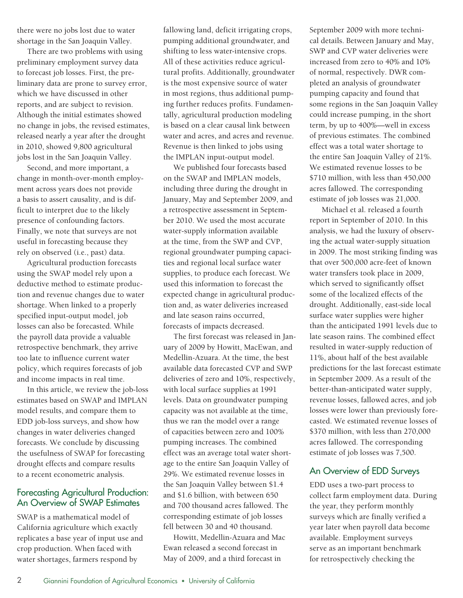there were no jobs lost due to water shortage in the San Joaquin Valley.

There are two problems with using preliminary employment survey data to forecast job losses. First, the preliminary data are prone to survey error, which we have discussed in other reports, and are subject to revision. Although the initial estimates showed no change in jobs, the revised estimates, released nearly a year after the drought in 2010, showed 9,800 agricultural jobs lost in the San Joaquin Valley.

Second, and more important, a change in month-over-month employment across years does not provide a basis to assert causality, and is difficult to interpret due to the likely presence of confounding factors. Finally, we note that surveys are not useful in forecasting because they rely on observed (i.e., past) data.

Agricultural production forecasts using the SWAP model rely upon a deductive method to estimate production and revenue changes due to water shortage. When linked to a properly specified input-output model, job losses can also be forecasted. While the payroll data provide a valuable retrospective benchmark, they arrive too late to influence current water policy, which requires forecasts of job and income impacts in real time.

In this article, we review the job-loss estimates based on SWAP and IMPLAN model results, and compare them to EDD job-loss surveys, and show how changes in water deliveries changed forecasts. We conclude by discussing the usefulness of SWAP for forecasting drought effects and compare results to a recent econometric analysis.

#### Forecasting Agricultural Production: An Overview of SWAP Estimates

SWAP is a mathematical model of California agriculture which exactly replicates a base year of input use and crop production. When faced with water shortages, farmers respond by

fallowing land, deficit irrigating crops, pumping additional groundwater, and shifting to less water-intensive crops. All of these activities reduce agricultural profits. Additionally, groundwater is the most expensive source of water in most regions, thus additional pumping further reduces profits. Fundamentally, agricultural production modeling is based on a clear causal link between water and acres, and acres and revenue. Revenue is then linked to jobs using the IMPLAN input-output model.

We published four forecasts based on the SWAP and IMPLAN models, including three during the drought in January, May and September 2009, and a retrospective assessment in September 2010. We used the most accurate water-supply information available at the time, from the SWP and CVP, regional groundwater pumping capacities and regional local surface water supplies, to produce each forecast. We used this information to forecast the expected change in agricultural production and, as water deliveries increased and late season rains occurred, forecasts of impacts decreased.

The first forecast was released in January of 2009 by Howitt, MacEwan, and Medellin-Azuara. At the time, the best available data forecasted CVP and SWP deliveries of zero and 10%, respectively, with local surface supplies at 1991 levels. Data on groundwater pumping capacity was not available at the time, thus we ran the model over a range of capacities between zero and 100% pumping increases. The combined effect was an average total water shortage to the entire San Joaquin Valley of 29%. We estimated revenue losses in the San Joaquin Valley between \$1.4 and \$1.6 billion, with between 650 and 700 thousand acres fallowed. The corresponding estimate of job losses fell between 30 and 40 thousand.

Howitt, Medellin-Azuara and Mac Ewan released a second forecast in May of 2009, and a third forecast in

September 2009 with more technical details. Between January and May, SWP and CVP water deliveries were increased from zero to 40% and 10% of normal, respectively. DWR completed an analysis of groundwater pumping capacity and found that some regions in the San Joaquin Valley could increase pumping, in the short term, by up to 400%—well in excess of previous estimates. The combined effect was a total water shortage to the entire San Joaquin Valley of 21%. We estimated revenue losses to be \$710 million, with less than 450,000 acres fallowed. The corresponding estimate of job losses was 21,000.

Michael et al. released a fourth report in September of 2010. In this analysis, we had the luxury of observing the actual water-supply situation in 2009. The most striking finding was that over 500,000 acre-feet of known water transfers took place in 2009, which served to significantly offset some of the localized effects of the drought. Additionally, east-side local surface water supplies were higher than the anticipated 1991 levels due to late season rains. The combined effect resulted in water-supply reduction of 11%, about half of the best available predictions for the last forecast estimate in September 2009. As a result of the better-than-anticipated water supply, revenue losses, fallowed acres, and job losses were lower than previously forecasted. We estimated revenue losses of \$370 million, with less than 270,000 acres fallowed. The corresponding estimate of job losses was 7,500.

#### An Overview of EDD Surveys

EDD uses a two-part process to collect farm employment data. During the year, they perform monthly surveys which are finally verified a year later when payroll data become available. Employment surveys serve as an important benchmark for retrospectively checking the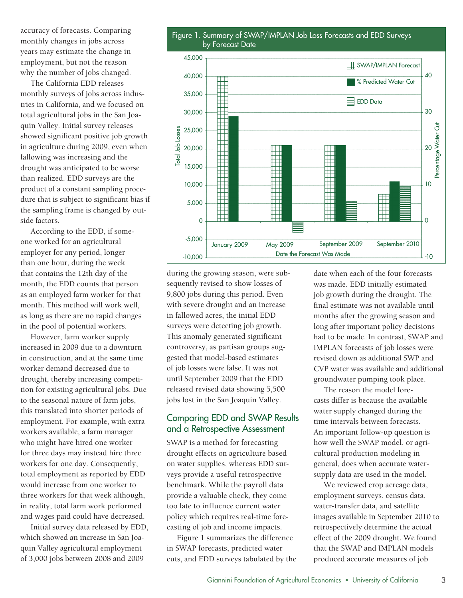accuracy of forecasts. Comparing monthly changes in jobs across years may estimate the change in employment, but not the reason why the number of jobs changed.

total agricultural jobs in the San Joathe sampling frame is changed by outside factors. The California EDD releases monthly surveys of jobs across indus- 155,000 tries in California, and we focused on quin Valley. Initial survey releases showed significant positive job growth in agriculture during 2009, even when fallowing was increasing and the drought was anticipated to be worse than realized. EDD surveys are the product of a constant sampling procedure that is subject to significant bias if

According to the EDD, if someone worked for an agricultural  $\qquad \qquad$  -5,000 employer for any period, longer than one hour, during the week that contains the 12th day of the month, the EDD counts that person as an employed farm worker for that month. This method will work well, as long as there are no rapid changes in the pool of potential workers.

However, farm worker supply increased in 2009 due to a downturn in construction, and at the same time worker demand decreased due to drought, thereby increasing competition for existing agricultural jobs. Due to the seasonal nature of farm jobs, this translated into shorter periods of employment. For example, with extra workers available, a farm manager who might have hired one worker for three days may instead hire three workers for one day. Consequently, total employment as reported by EDD would increase from one worker to three workers for that week although, in reality, total farm work performed and wages paid could have decreased.

Initial survey data released by EDD, which showed an increase in San Joaquin Valley agricultural employment of 3,000 jobs between 2008 and 2009



during the growing season, were subsequently revised to show losses of 9,800 jobs during this period. Even with severe drought and an increase in fallowed acres, the initial EDD surveys were detecting job growth. This anomaly generated significant controversy, as partisan groups suggested that model-based estimates of job losses were false. It was not until September 2009 that the EDD released revised data showing 5,500 jobs lost in the San Joaquin Valley.

#### Comparing EDD and SWAP Results and a Retrospective Assessment

SWAP is a method for forecasting drought effects on agriculture based on water supplies, whereas EDD surveys provide a useful retrospective benchmark. While the payroll data provide a valuable check, they come too late to influence current water policy which requires real-time forecasting of job and income impacts.

Figure 1 summarizes the difference in SWAP forecasts, predicted water cuts, and EDD surveys tabulated by the date when each of the four forecasts was made. EDD initially estimated job growth during the drought. The final estimate was not available until months after the growing season and long after important policy decisions had to be made. In contrast, SWAP and IMPLAN forecasts of job losses were revised down as additional SWP and CVP water was available and additional groundwater pumping took place.

The reason the model forecasts differ is because the available water supply changed during the time intervals between forecasts. An important follow-up question is how well the SWAP model, or agricultural production modeling in general, does when accurate watersupply data are used in the model.

We reviewed crop acreage data, employment surveys, census data, water-transfer data, and satellite images available in September 2010 to retrospectively determine the actual effect of the 2009 drought. We found that the SWAP and IMPLAN models produced accurate measures of job